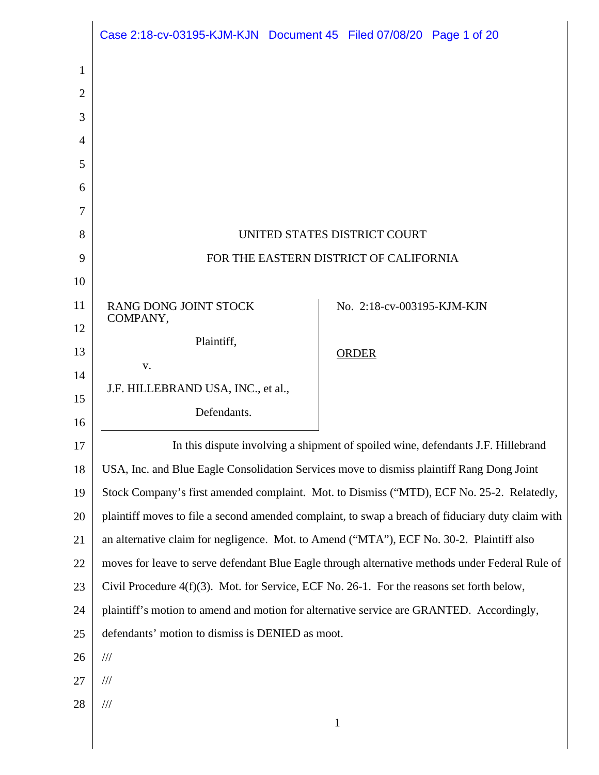|                | Case 2:18-cv-03195-KJM-KJN Document 45 Filed 07/08/20 Page 1 of 20                           |                                                                                                   |
|----------------|----------------------------------------------------------------------------------------------|---------------------------------------------------------------------------------------------------|
| 1              |                                                                                              |                                                                                                   |
| $\overline{2}$ |                                                                                              |                                                                                                   |
| 3              |                                                                                              |                                                                                                   |
| $\overline{4}$ |                                                                                              |                                                                                                   |
| 5              |                                                                                              |                                                                                                   |
| 6              |                                                                                              |                                                                                                   |
| 7              |                                                                                              |                                                                                                   |
| 8              |                                                                                              | UNITED STATES DISTRICT COURT                                                                      |
| 9              |                                                                                              | FOR THE EASTERN DISTRICT OF CALIFORNIA                                                            |
| 10             |                                                                                              |                                                                                                   |
| 11             | RANG DONG JOINT STOCK                                                                        | No. 2:18-cv-003195-KJM-KJN                                                                        |
| 12             | COMPANY,                                                                                     |                                                                                                   |
| 13             | Plaintiff,                                                                                   | <b>ORDER</b>                                                                                      |
| 14             | V.                                                                                           |                                                                                                   |
| 15             | J.F. HILLEBRAND USA, INC., et al.,                                                           |                                                                                                   |
| 16             | Defendants.                                                                                  |                                                                                                   |
| 17             |                                                                                              | In this dispute involving a shipment of spoiled wine, defendants J.F. Hillebrand                  |
| 18             |                                                                                              | USA, Inc. and Blue Eagle Consolidation Services move to dismiss plaintiff Rang Dong Joint         |
| 19             |                                                                                              | Stock Company's first amended complaint. Mot. to Dismiss ("MTD), ECF No. 25-2. Relatedly,         |
| 20             |                                                                                              | plaintiff moves to file a second amended complaint, to swap a breach of fiduciary duty claim with |
| 21             | an alternative claim for negligence. Mot. to Amend ("MTA"), ECF No. 30-2. Plaintiff also     |                                                                                                   |
| 22             |                                                                                              | moves for leave to serve defendant Blue Eagle through alternative methods under Federal Rule of   |
| 23             | Civil Procedure $4(f)(3)$ . Mot. for Service, ECF No. 26-1. For the reasons set forth below, |                                                                                                   |
| 24             |                                                                                              | plaintiff's motion to amend and motion for alternative service are GRANTED. Accordingly,          |
| 25             | defendants' motion to dismiss is DENIED as moot.                                             |                                                                                                   |
| 26             | $\frac{1}{1}$                                                                                |                                                                                                   |
| 27             | $\frac{1}{1}$                                                                                |                                                                                                   |
| 28             | $\frac{1}{1}$                                                                                |                                                                                                   |
|                |                                                                                              | 1                                                                                                 |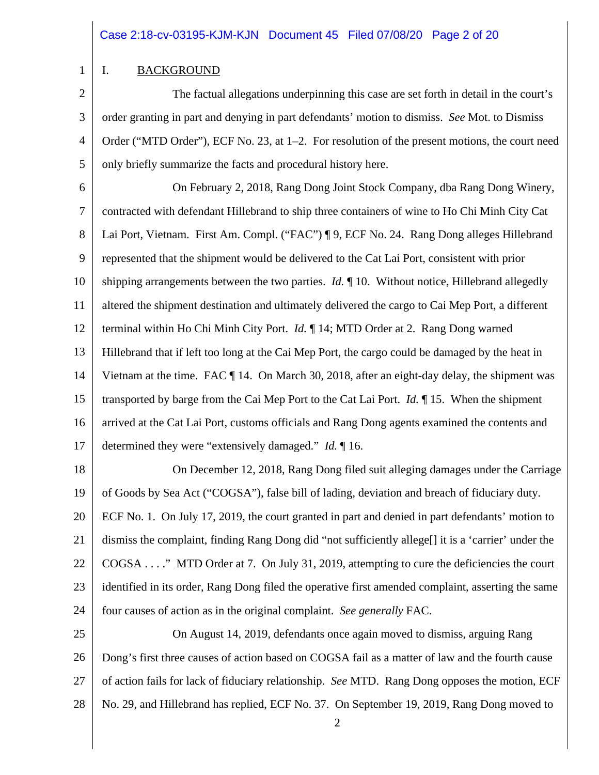### 1

#### I. BACKGROUND

2 3 4 5 The factual allegations underpinning this case are set forth in detail in the court's order granting in part and denying in part defendants' motion to dismiss. *See* Mot. to Dismiss Order ("MTD Order"), ECF No. 23, at 1–2. For resolution of the present motions, the court need only briefly summarize the facts and procedural history here.

6 7 8 9 10 11 12 13 14 15 16 17 On February 2, 2018, Rang Dong Joint Stock Company, dba Rang Dong Winery, contracted with defendant Hillebrand to ship three containers of wine to Ho Chi Minh City Cat Lai Port, Vietnam. First Am. Compl. ("FAC") ¶ 9, ECF No. 24. Rang Dong alleges Hillebrand represented that the shipment would be delivered to the Cat Lai Port, consistent with prior shipping arrangements between the two parties. *Id.* ¶ 10. Without notice, Hillebrand allegedly altered the shipment destination and ultimately delivered the cargo to Cai Mep Port, a different terminal within Ho Chi Minh City Port. *Id.* ¶ 14; MTD Order at 2. Rang Dong warned Hillebrand that if left too long at the Cai Mep Port, the cargo could be damaged by the heat in Vietnam at the time. FAC  $\P$  14. On March 30, 2018, after an eight-day delay, the shipment was transported by barge from the Cai Mep Port to the Cat Lai Port. *Id.* ¶ 15. When the shipment arrived at the Cat Lai Port, customs officials and Rang Dong agents examined the contents and determined they were "extensively damaged." *Id.* ¶ 16.

18 19 20 21 22 23 24 On December 12, 2018, Rang Dong filed suit alleging damages under the Carriage of Goods by Sea Act ("COGSA"), false bill of lading, deviation and breach of fiduciary duty. ECF No. 1. On July 17, 2019, the court granted in part and denied in part defendants' motion to dismiss the complaint, finding Rang Dong did "not sufficiently allege[] it is a 'carrier' under the COGSA . . . ." MTD Order at 7. On July 31, 2019, attempting to cure the deficiencies the court identified in its order, Rang Dong filed the operative first amended complaint, asserting the same four causes of action as in the original complaint. *See generally* FAC.

25 26 27 28 On August 14, 2019, defendants once again moved to dismiss, arguing Rang Dong's first three causes of action based on COGSA fail as a matter of law and the fourth cause of action fails for lack of fiduciary relationship. *See* MTD. Rang Dong opposes the motion, ECF No. 29, and Hillebrand has replied, ECF No. 37. On September 19, 2019, Rang Dong moved to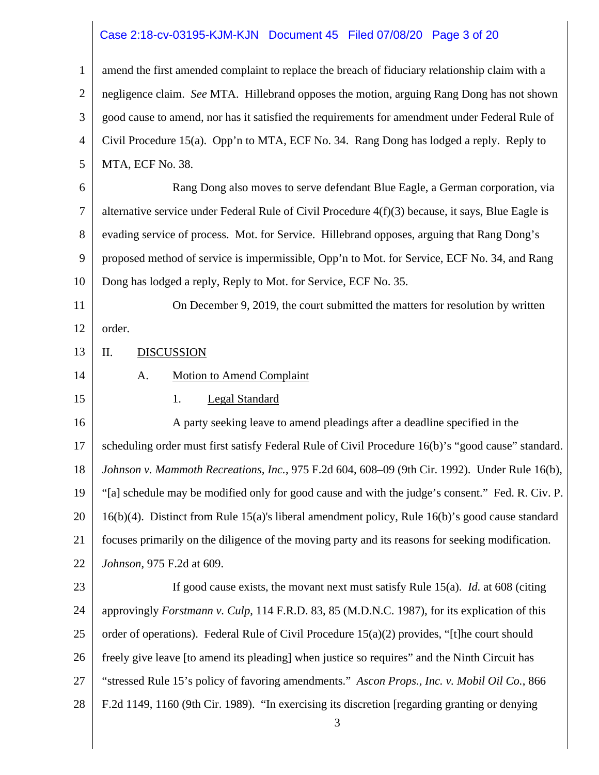#### Case 2:18-cv-03195-KJM-KJN Document 45 Filed 07/08/20 Page 3 of 20

1 2 3 4 5 amend the first amended complaint to replace the breach of fiduciary relationship claim with a negligence claim. *See* MTA. Hillebrand opposes the motion, arguing Rang Dong has not shown good cause to amend, nor has it satisfied the requirements for amendment under Federal Rule of Civil Procedure 15(a). Opp'n to MTA, ECF No. 34. Rang Dong has lodged a reply. Reply to MTA, ECF No. 38.

6 7 8 9 10 Rang Dong also moves to serve defendant Blue Eagle, a German corporation, via alternative service under Federal Rule of Civil Procedure  $4(f)(3)$  because, it says, Blue Eagle is evading service of process. Mot. for Service. Hillebrand opposes, arguing that Rang Dong's proposed method of service is impermissible, Opp'n to Mot. for Service, ECF No. 34, and Rang Dong has lodged a reply, Reply to Mot. for Service, ECF No. 35.

11 12 On December 9, 2019, the court submitted the matters for resolution by written order.

13 II. DISCUSSION

- A. Motion to Amend Complaint
- 15

14

1. Legal Standard

16 17 18 19 20 21 22 A party seeking leave to amend pleadings after a deadline specified in the scheduling order must first satisfy Federal Rule of Civil Procedure 16(b)'s "good cause" standard. *Johnson v. Mammoth Recreations, Inc.*, 975 F.2d 604, 608–09 (9th Cir. 1992). Under Rule 16(b), "[a] schedule may be modified only for good cause and with the judge's consent." Fed. R. Civ. P. 16(b)(4). Distinct from Rule 15(a)'s liberal amendment policy, Rule 16(b)'s good cause standard focuses primarily on the diligence of the moving party and its reasons for seeking modification. *Johnson*, 975 F.2d at 609.

23 24 25 26 27 28 If good cause exists, the movant next must satisfy Rule 15(a). *Id.* at 608 (citing approvingly *Forstmann v. Culp*, 114 F.R.D. 83, 85 (M.D.N.C. 1987), for its explication of this order of operations). Federal Rule of Civil Procedure 15(a)(2) provides, "[t]he court should freely give leave [to amend its pleading] when justice so requires" and the Ninth Circuit has "stressed Rule 15's policy of favoring amendments." *Ascon Props., Inc. v. Mobil Oil Co.*, 866 F.2d 1149, 1160 (9th Cir. 1989). "In exercising its discretion [regarding granting or denying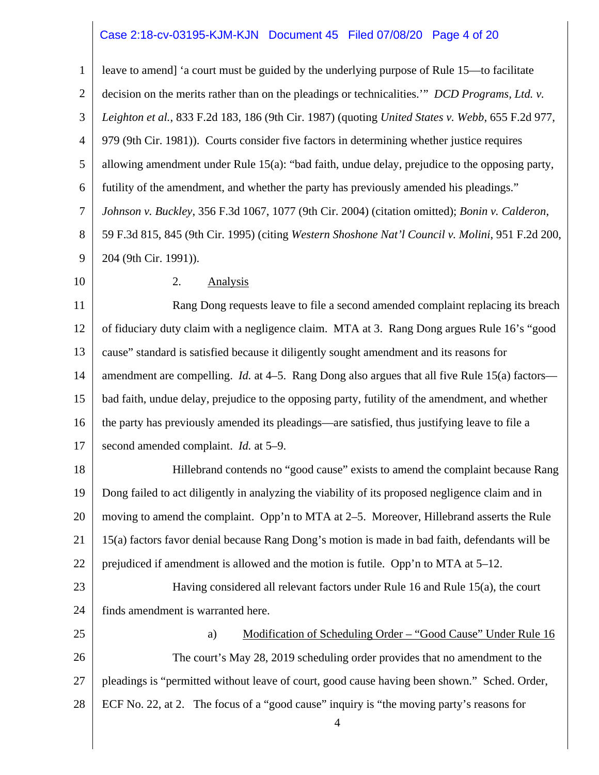#### Case 2:18-cv-03195-KJM-KJN Document 45 Filed 07/08/20 Page 4 of 20

1 2 3 4 5 6 7 8 9 10 11 12 13 14 15 16 17 18 19 20 21 22 23 24 25 26 27 28 leave to amend] 'a court must be guided by the underlying purpose of Rule 15—to facilitate decision on the merits rather than on the pleadings or technicalities.'" *DCD Programs, Ltd. v. Leighton et al.*, 833 F.2d 183, 186 (9th Cir. 1987) (quoting *United States v. Webb*, 655 F.2d 977, 979 (9th Cir. 1981)). Courts consider five factors in determining whether justice requires allowing amendment under Rule 15(a): "bad faith, undue delay, prejudice to the opposing party, futility of the amendment, and whether the party has previously amended his pleadings." *Johnson v. Buckley*, 356 F.3d 1067, 1077 (9th Cir. 2004) (citation omitted); *Bonin v. Calderon*, 59 F.3d 815, 845 (9th Cir. 1995) (citing *Western Shoshone Nat'l Council v. Molini*, 951 F.2d 200, 204 (9th Cir. 1991)). 2. Analysis Rang Dong requests leave to file a second amended complaint replacing its breach of fiduciary duty claim with a negligence claim. MTA at 3. Rang Dong argues Rule 16's "good cause" standard is satisfied because it diligently sought amendment and its reasons for amendment are compelling. *Id.* at 4–5. Rang Dong also argues that all five Rule 15(a) factors bad faith, undue delay, prejudice to the opposing party, futility of the amendment, and whether the party has previously amended its pleadings—are satisfied, thus justifying leave to file a second amended complaint. *Id.* at 5–9. Hillebrand contends no "good cause" exists to amend the complaint because Rang Dong failed to act diligently in analyzing the viability of its proposed negligence claim and in moving to amend the complaint. Opp'n to MTA at 2–5. Moreover, Hillebrand asserts the Rule 15(a) factors favor denial because Rang Dong's motion is made in bad faith, defendants will be prejudiced if amendment is allowed and the motion is futile. Opp'n to MTA at 5–12. Having considered all relevant factors under Rule 16 and Rule 15(a), the court finds amendment is warranted here. a) Modification of Scheduling Order – "Good Cause" Under Rule 16 The court's May 28, 2019 scheduling order provides that no amendment to the pleadings is "permitted without leave of court, good cause having been shown." Sched. Order, ECF No. 22, at 2. The focus of a "good cause" inquiry is "the moving party's reasons for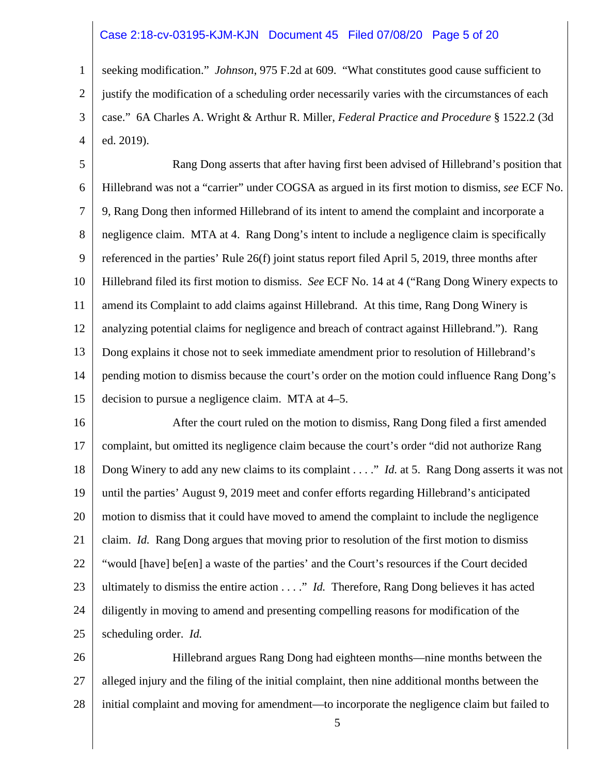#### Case 2:18-cv-03195-KJM-KJN Document 45 Filed 07/08/20 Page 5 of 20

1 2 3 4 seeking modification." *Johnson*, 975 F.2d at 609. "What constitutes good cause sufficient to justify the modification of a scheduling order necessarily varies with the circumstances of each case." 6A Charles A. Wright & Arthur R. Miller, *Federal Practice and Procedure* § 1522.2 (3d ed. 2019).

5 6 7 8 9 10 11 12 13 14 15 Rang Dong asserts that after having first been advised of Hillebrand's position that Hillebrand was not a "carrier" under COGSA as argued in its first motion to dismiss, *see* ECF No. 9, Rang Dong then informed Hillebrand of its intent to amend the complaint and incorporate a negligence claim. MTA at 4. Rang Dong's intent to include a negligence claim is specifically referenced in the parties' Rule 26(f) joint status report filed April 5, 2019, three months after Hillebrand filed its first motion to dismiss. *See* ECF No. 14 at 4 ("Rang Dong Winery expects to amend its Complaint to add claims against Hillebrand. At this time, Rang Dong Winery is analyzing potential claims for negligence and breach of contract against Hillebrand."). Rang Dong explains it chose not to seek immediate amendment prior to resolution of Hillebrand's pending motion to dismiss because the court's order on the motion could influence Rang Dong's decision to pursue a negligence claim. MTA at 4–5.

16 17 18 19 20 21 22 23 24 25 After the court ruled on the motion to dismiss, Rang Dong filed a first amended complaint, but omitted its negligence claim because the court's order "did not authorize Rang Dong Winery to add any new claims to its complaint . . . ." *Id.* at 5. Rang Dong asserts it was not until the parties' August 9, 2019 meet and confer efforts regarding Hillebrand's anticipated motion to dismiss that it could have moved to amend the complaint to include the negligence claim. *Id.* Rang Dong argues that moving prior to resolution of the first motion to dismiss "would [have] be[en] a waste of the parties' and the Court's resources if the Court decided ultimately to dismiss the entire action . . . ." *Id.* Therefore, Rang Dong believes it has acted diligently in moving to amend and presenting compelling reasons for modification of the scheduling order. *Id.* 

26 27 28 Hillebrand argues Rang Dong had eighteen months—nine months between the alleged injury and the filing of the initial complaint, then nine additional months between the initial complaint and moving for amendment—to incorporate the negligence claim but failed to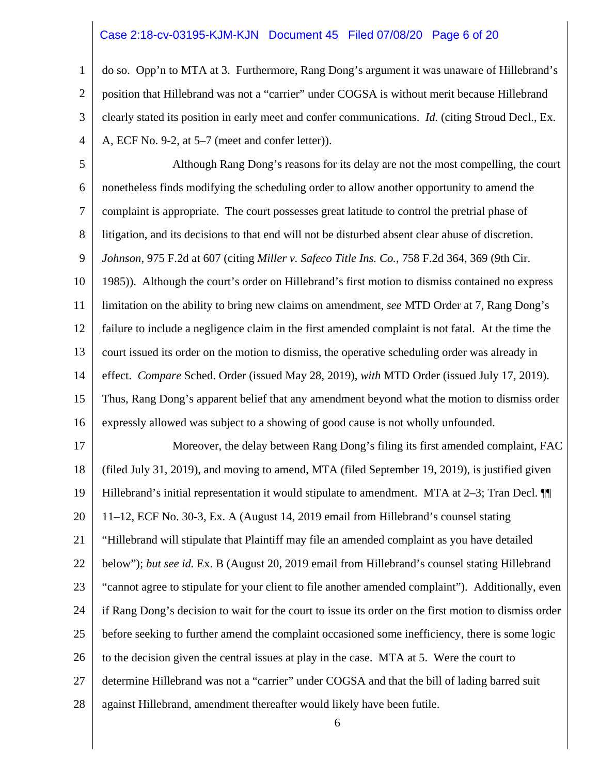#### Case 2:18-cv-03195-KJM-KJN Document 45 Filed 07/08/20 Page 6 of 20

1 2 3 4 do so. Opp'n to MTA at 3. Furthermore, Rang Dong's argument it was unaware of Hillebrand's position that Hillebrand was not a "carrier" under COGSA is without merit because Hillebrand clearly stated its position in early meet and confer communications. *Id.* (citing Stroud Decl., Ex. A, ECF No. 9-2, at 5–7 (meet and confer letter)).

5 6 7 8 9 10 11 Although Rang Dong's reasons for its delay are not the most compelling, the court nonetheless finds modifying the scheduling order to allow another opportunity to amend the complaint is appropriate. The court possesses great latitude to control the pretrial phase of litigation, and its decisions to that end will not be disturbed absent clear abuse of discretion. *Johnson*, 975 F.2d at 607 (citing *Miller v. Safeco Title Ins. Co.*, 758 F.2d 364, 369 (9th Cir. 1985)). Although the court's order on Hillebrand's first motion to dismiss contained no express limitation on the ability to bring new claims on amendment, *see* MTD Order at 7, Rang Dong's

12 13 14 15 16 failure to include a negligence claim in the first amended complaint is not fatal. At the time the court issued its order on the motion to dismiss, the operative scheduling order was already in effect. *Compare* Sched. Order (issued May 28, 2019), *with* MTD Order (issued July 17, 2019). Thus, Rang Dong's apparent belief that any amendment beyond what the motion to dismiss order expressly allowed was subject to a showing of good cause is not wholly unfounded.

17 18 19 20 21 22 23 24 25 26 27 28 Moreover, the delay between Rang Dong's filing its first amended complaint, FAC (filed July 31, 2019), and moving to amend, MTA (filed September 19, 2019), is justified given Hillebrand's initial representation it would stipulate to amendment. MTA at 2–3; Tran Decl. ¶¶ 11–12, ECF No. 30-3, Ex. A (August 14, 2019 email from Hillebrand's counsel stating "Hillebrand will stipulate that Plaintiff may file an amended complaint as you have detailed below"); *but see id.* Ex. B (August 20, 2019 email from Hillebrand's counsel stating Hillebrand "cannot agree to stipulate for your client to file another amended complaint"). Additionally, even if Rang Dong's decision to wait for the court to issue its order on the first motion to dismiss order before seeking to further amend the complaint occasioned some inefficiency, there is some logic to the decision given the central issues at play in the case. MTA at 5. Were the court to determine Hillebrand was not a "carrier" under COGSA and that the bill of lading barred suit against Hillebrand, amendment thereafter would likely have been futile.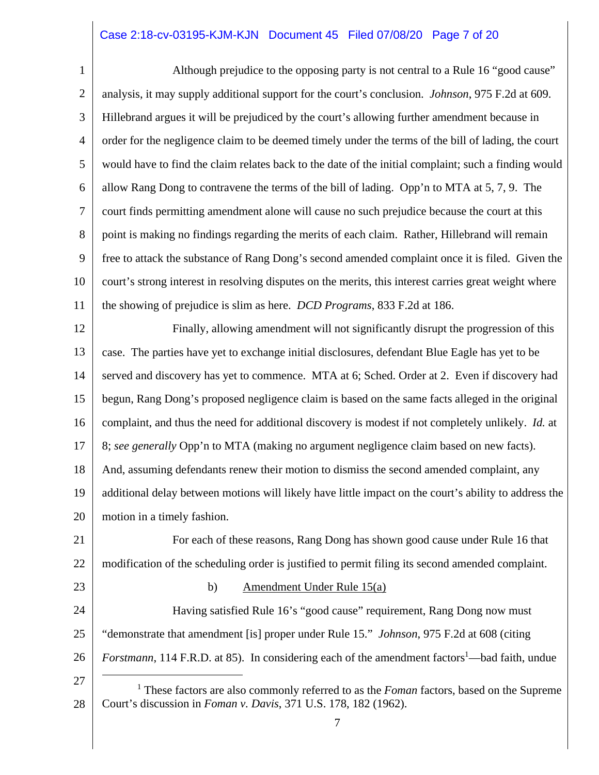### Case 2:18-cv-03195-KJM-KJN Document 45 Filed 07/08/20 Page 7 of 20

| $\mathbf{1}$   | Although prejudice to the opposing party is not central to a Rule 16 "good cause"                                 |
|----------------|-------------------------------------------------------------------------------------------------------------------|
| $\overline{2}$ | analysis, it may supply additional support for the court's conclusion. <i>Johnson</i> , 975 F.2d at 609.          |
| 3              | Hillebrand argues it will be prejudiced by the court's allowing further amendment because in                      |
| $\overline{4}$ | order for the negligence claim to be deemed timely under the terms of the bill of lading, the court               |
| 5              | would have to find the claim relates back to the date of the initial complaint; such a finding would              |
| 6              | allow Rang Dong to contravene the terms of the bill of lading. Opp'n to MTA at 5, 7, 9. The                       |
| $\overline{7}$ | court finds permitting amendment alone will cause no such prejudice because the court at this                     |
| 8              | point is making no findings regarding the merits of each claim. Rather, Hillebrand will remain                    |
| 9              | free to attack the substance of Rang Dong's second amended complaint once it is filed. Given the                  |
| 10             | court's strong interest in resolving disputes on the merits, this interest carries great weight where             |
| 11             | the showing of prejudice is slim as here. <i>DCD Programs</i> , 833 F.2d at 186.                                  |
| 12             | Finally, allowing amendment will not significantly disrupt the progression of this                                |
| 13             | case. The parties have yet to exchange initial disclosures, defendant Blue Eagle has yet to be                    |
| 14             | served and discovery has yet to commence. MTA at 6; Sched. Order at 2. Even if discovery had                      |
| 15             | begun, Rang Dong's proposed negligence claim is based on the same facts alleged in the original                   |
| 16             | complaint, and thus the need for additional discovery is modest if not completely unlikely. Id. at                |
| 17             | 8; see generally Opp'n to MTA (making no argument negligence claim based on new facts).                           |
| 18             | And, assuming defendants renew their motion to dismiss the second amended complaint, any                          |
| 19             | additional delay between motions will likely have little impact on the court's ability to address the             |
| 20             | motion in a timely fashion.                                                                                       |
| 21             | For each of these reasons, Rang Dong has shown good cause under Rule 16 that                                      |
| 22             | modification of the scheduling order is justified to permit filing its second amended complaint.                  |
| 23             | Amendment Under Rule 15(a)<br>b)                                                                                  |
| 24             | Having satisfied Rule 16's "good cause" requirement, Rang Dong now must                                           |
| 25             | "demonstrate that amendment [is] proper under Rule 15." <i>Johnson</i> , 975 F.2d at 608 (citing                  |
| 26             | <i>Forstmann</i> , 114 F.R.D. at 85). In considering each of the amendment factors <sup>1</sup> —bad faith, undue |
| 27             | $1$ These factors are also commonly referred to as the <i>Foman</i> factors, based on the Supreme                 |
| 28             | Court's discussion in Foman v. Davis, 371 U.S. 178, 182 (1962).                                                   |
|                | 7                                                                                                                 |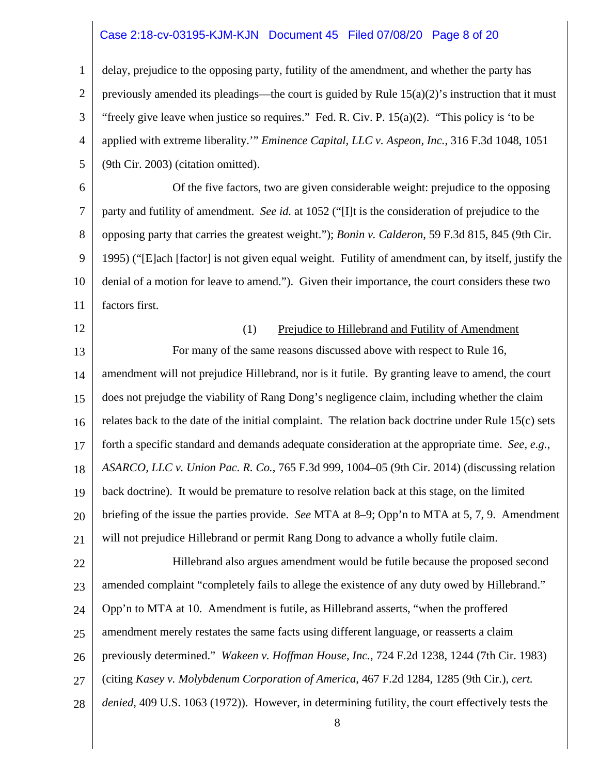#### Case 2:18-cv-03195-KJM-KJN Document 45 Filed 07/08/20 Page 8 of 20

1 2 3 4 5 delay, prejudice to the opposing party, futility of the amendment, and whether the party has previously amended its pleadings—the court is guided by Rule  $15(a)(2)$ 's instruction that it must "freely give leave when justice so requires." Fed. R. Civ. P. 15(a)(2). "This policy is 'to be applied with extreme liberality.'" *Eminence Capital, LLC v. Aspeon, Inc.*, 316 F.3d 1048, 1051 (9th Cir. 2003) (citation omitted).

6 7 8 9 10 11 Of the five factors, two are given considerable weight: prejudice to the opposing party and futility of amendment. *See id.* at 1052 ("[I]t is the consideration of prejudice to the opposing party that carries the greatest weight."); *Bonin v. Calderon*, 59 F.3d 815, 845 (9th Cir. 1995) ("[E]ach [factor] is not given equal weight. Futility of amendment can, by itself, justify the denial of a motion for leave to amend."). Given their importance, the court considers these two factors first.

12

#### (1) Prejudice to Hillebrand and Futility of Amendment

13 14 15 16 17 18 19 20 21 For many of the same reasons discussed above with respect to Rule 16, amendment will not prejudice Hillebrand, nor is it futile. By granting leave to amend, the court does not prejudge the viability of Rang Dong's negligence claim, including whether the claim relates back to the date of the initial complaint. The relation back doctrine under Rule 15(c) sets forth a specific standard and demands adequate consideration at the appropriate time. *See, e.g.*, *ASARCO, LLC v. Union Pac. R. Co.*, 765 F.3d 999, 1004–05 (9th Cir. 2014) (discussing relation back doctrine). It would be premature to resolve relation back at this stage, on the limited briefing of the issue the parties provide. *See* MTA at 8–9; Opp'n to MTA at 5, 7, 9. Amendment will not prejudice Hillebrand or permit Rang Dong to advance a wholly futile claim.

22 23 24 25 26 27 28 Hillebrand also argues amendment would be futile because the proposed second amended complaint "completely fails to allege the existence of any duty owed by Hillebrand." Opp'n to MTA at 10. Amendment is futile, as Hillebrand asserts, "when the proffered amendment merely restates the same facts using different language, or reasserts a claim previously determined." *Wakeen v. Hoffman House, Inc.*, 724 F.2d 1238, 1244 (7th Cir. 1983) (citing *Kasey v. Molybdenum Corporation of America*, 467 F.2d 1284, 1285 (9th Cir.), *cert. denied*, 409 U.S. 1063 (1972)). However, in determining futility, the court effectively tests the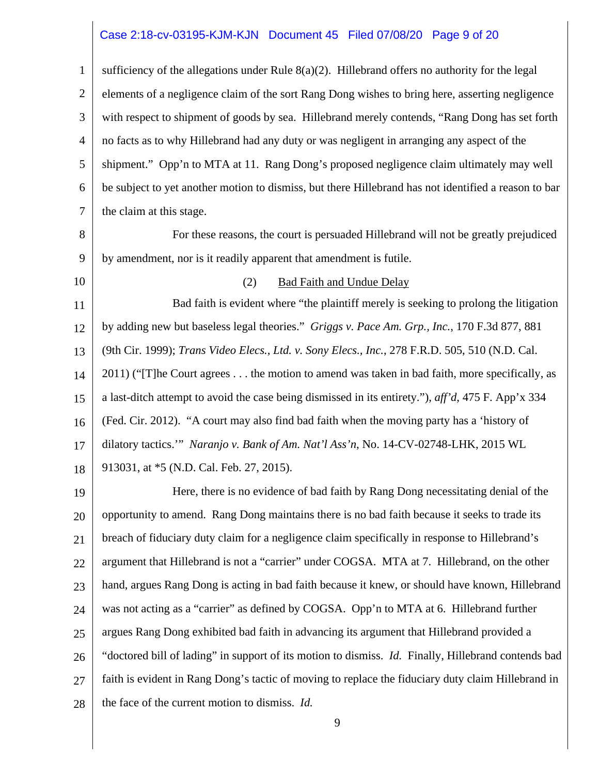#### Case 2:18-cv-03195-KJM-KJN Document 45 Filed 07/08/20 Page 9 of 20

1 2 3 4 5 6 7 sufficiency of the allegations under Rule  $8(a)(2)$ . Hillebrand offers no authority for the legal elements of a negligence claim of the sort Rang Dong wishes to bring here, asserting negligence with respect to shipment of goods by sea. Hillebrand merely contends, "Rang Dong has set forth no facts as to why Hillebrand had any duty or was negligent in arranging any aspect of the shipment." Opp'n to MTA at 11. Rang Dong's proposed negligence claim ultimately may well be subject to yet another motion to dismiss, but there Hillebrand has not identified a reason to bar the claim at this stage.

8 9 For these reasons, the court is persuaded Hillebrand will not be greatly prejudiced by amendment, nor is it readily apparent that amendment is futile.

10

#### (2) Bad Faith and Undue Delay

11 12 13 14 15 16 17 18 Bad faith is evident where "the plaintiff merely is seeking to prolong the litigation by adding new but baseless legal theories." *Griggs v. Pace Am. Grp., Inc.*, 170 F.3d 877, 881 (9th Cir. 1999); *Trans Video Elecs., Ltd. v. Sony Elecs., Inc.*, 278 F.R.D. 505, 510 (N.D. Cal. 2011) ("[T]he Court agrees . . . the motion to amend was taken in bad faith, more specifically, as a last-ditch attempt to avoid the case being dismissed in its entirety."), *aff'd*, 475 F. App'x 334 (Fed. Cir. 2012). "A court may also find bad faith when the moving party has a 'history of dilatory tactics.'" *Naranjo v. Bank of Am. Nat'l Ass'n*, No. 14-CV-02748-LHK, 2015 WL 913031, at \*5 (N.D. Cal. Feb. 27, 2015).

19 20 21 22 23 24 25 26 27 28 Here, there is no evidence of bad faith by Rang Dong necessitating denial of the opportunity to amend. Rang Dong maintains there is no bad faith because it seeks to trade its breach of fiduciary duty claim for a negligence claim specifically in response to Hillebrand's argument that Hillebrand is not a "carrier" under COGSA. MTA at 7. Hillebrand, on the other hand, argues Rang Dong is acting in bad faith because it knew, or should have known, Hillebrand was not acting as a "carrier" as defined by COGSA. Opp'n to MTA at 6. Hillebrand further argues Rang Dong exhibited bad faith in advancing its argument that Hillebrand provided a "doctored bill of lading" in support of its motion to dismiss. *Id.* Finally, Hillebrand contends bad faith is evident in Rang Dong's tactic of moving to replace the fiduciary duty claim Hillebrand in the face of the current motion to dismiss. *Id.*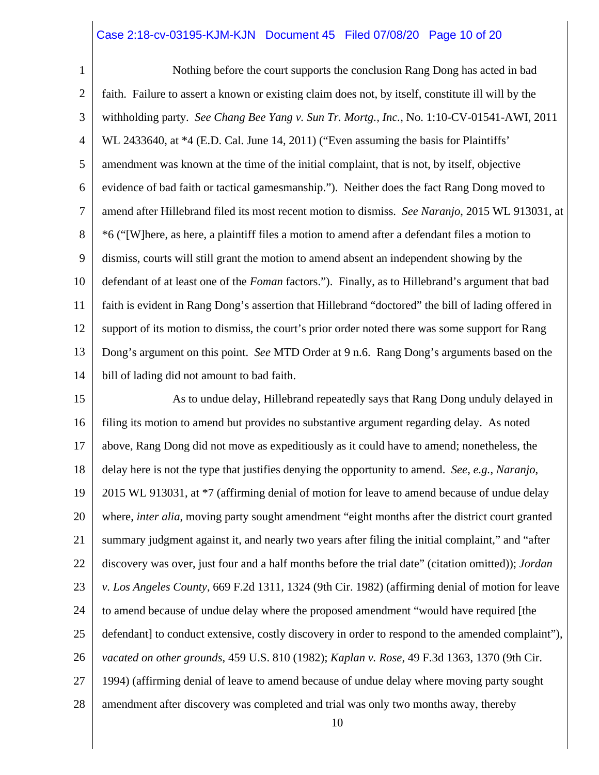#### Case 2:18-cv-03195-KJM-KJN Document 45 Filed 07/08/20 Page 10 of 20

1 2 3 4 5 6 7 8 9 10 11 12 13 14 Nothing before the court supports the conclusion Rang Dong has acted in bad faith. Failure to assert a known or existing claim does not, by itself, constitute ill will by the withholding party. *See Chang Bee Yang v. Sun Tr. Mortg., Inc.*, No. 1:10-CV-01541-AWI, 2011 WL 2433640, at \*4 (E.D. Cal. June 14, 2011) ("Even assuming the basis for Plaintiffs' amendment was known at the time of the initial complaint, that is not, by itself, objective evidence of bad faith or tactical gamesmanship."). Neither does the fact Rang Dong moved to amend after Hillebrand filed its most recent motion to dismiss. *See Naranjo*, 2015 WL 913031, at \*6 ("[W]here, as here, a plaintiff files a motion to amend after a defendant files a motion to dismiss, courts will still grant the motion to amend absent an independent showing by the defendant of at least one of the *Foman* factors."). Finally, as to Hillebrand's argument that bad faith is evident in Rang Dong's assertion that Hillebrand "doctored" the bill of lading offered in support of its motion to dismiss, the court's prior order noted there was some support for Rang Dong's argument on this point. *See* MTD Order at 9 n.6. Rang Dong's arguments based on the bill of lading did not amount to bad faith.

15 16 17 18 19 20 21 22 23 24 25 26 27 28 As to undue delay, Hillebrand repeatedly says that Rang Dong unduly delayed in filing its motion to amend but provides no substantive argument regarding delay. As noted above, Rang Dong did not move as expeditiously as it could have to amend; nonetheless, the delay here is not the type that justifies denying the opportunity to amend. *See, e.g.*, *Naranjo*, 2015 WL 913031, at \*7 (affirming denial of motion for leave to amend because of undue delay where, *inter alia*, moving party sought amendment "eight months after the district court granted summary judgment against it, and nearly two years after filing the initial complaint," and "after discovery was over, just four and a half months before the trial date" (citation omitted)); *Jordan v. Los Angeles County*, 669 F.2d 1311, 1324 (9th Cir. 1982) (affirming denial of motion for leave to amend because of undue delay where the proposed amendment "would have required [the defendant] to conduct extensive, costly discovery in order to respond to the amended complaint"), *vacated on other grounds*, 459 U.S. 810 (1982); *Kaplan v. Rose*, 49 F.3d 1363, 1370 (9th Cir. 1994) (affirming denial of leave to amend because of undue delay where moving party sought amendment after discovery was completed and trial was only two months away, thereby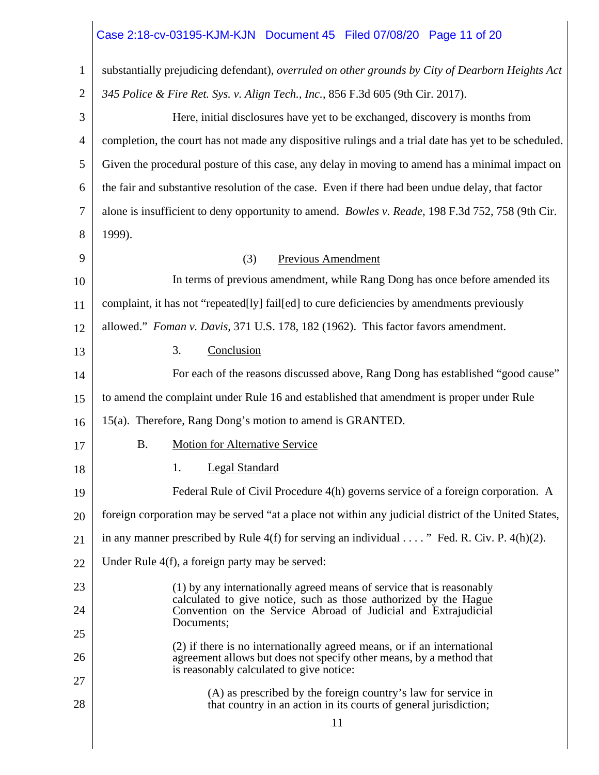# Case 2:18-cv-03195-KJM-KJN Document 45 Filed 07/08/20 Page 11 of 20

| 1              | substantially prejudicing defendant), overruled on other grounds by City of Dearborn Heights Act                                          |
|----------------|-------------------------------------------------------------------------------------------------------------------------------------------|
| $\overline{2}$ | 345 Police & Fire Ret. Sys. v. Align Tech., Inc., 856 F.3d 605 (9th Cir. 2017).                                                           |
| 3              | Here, initial disclosures have yet to be exchanged, discovery is months from                                                              |
| $\overline{4}$ | completion, the court has not made any dispositive rulings and a trial date has yet to be scheduled.                                      |
| 5              | Given the procedural posture of this case, any delay in moving to amend has a minimal impact on                                           |
| 6              | the fair and substantive resolution of the case. Even if there had been undue delay, that factor                                          |
| 7              | alone is insufficient to deny opportunity to amend. Bowles v. Reade, 198 F.3d 752, 758 (9th Cir.                                          |
| 8              | 1999).                                                                                                                                    |
| 9              | Previous Amendment<br>(3)                                                                                                                 |
| 10             | In terms of previous amendment, while Rang Dong has once before amended its                                                               |
| 11             | complaint, it has not "repeated[ly] fail[ed] to cure deficiencies by amendments previously                                                |
| 12             | allowed." Foman v. Davis, 371 U.S. 178, 182 (1962). This factor favors amendment.                                                         |
| 13             | 3.<br>Conclusion                                                                                                                          |
| 14             | For each of the reasons discussed above, Rang Dong has established "good cause"                                                           |
| 15             | to amend the complaint under Rule 16 and established that amendment is proper under Rule                                                  |
| 16             | 15(a). Therefore, Rang Dong's motion to amend is GRANTED.                                                                                 |
| 17             | <b>B.</b><br><b>Motion for Alternative Service</b>                                                                                        |
| 18             | 1.<br><b>Legal Standard</b>                                                                                                               |
| 19             | Federal Rule of Civil Procedure 4(h) governs service of a foreign corporation. A                                                          |
| 20             | foreign corporation may be served "at a place not within any judicial district of the United States,                                      |
| 21             | in any manner prescribed by Rule $4(f)$ for serving an individual " Fed. R. Civ. P. $4(h)(2)$ .                                           |
| 22             | Under Rule 4(f), a foreign party may be served:                                                                                           |
| 23             | (1) by any internationally agreed means of service that is reasonably<br>calculated to give notice, such as those authorized by the Hague |
| 24             | Convention on the Service Abroad of Judicial and Extrajudicial<br>Documents;                                                              |
| 25             | (2) if there is no internationally agreed means, or if an international                                                                   |
| 26             | agreement allows but does not specify other means, by a method that<br>is reasonably calculated to give notice:                           |
| 27             | (A) as prescribed by the foreign country's law for service in                                                                             |
| 28             | that country in an action in its courts of general jurisdiction;                                                                          |
|                | 11                                                                                                                                        |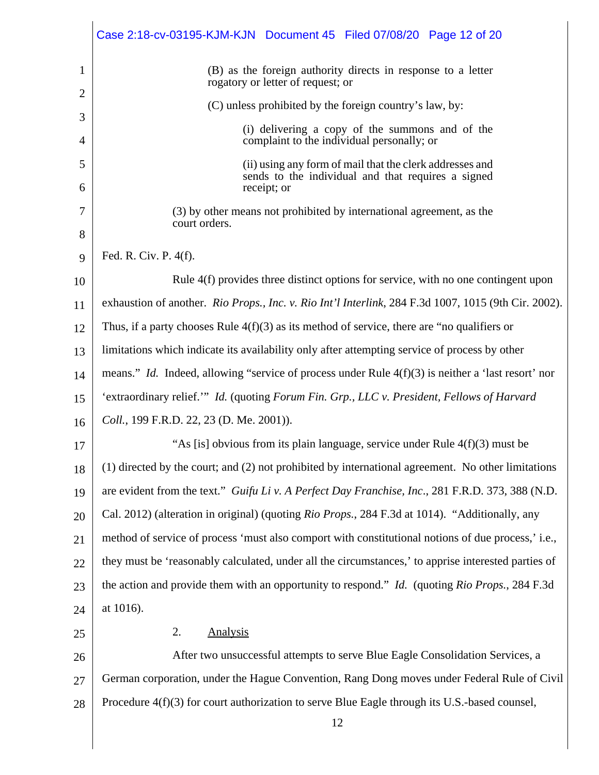|                     | Case 2:18-cv-03195-KJM-KJN  Document 45  Filed 07/08/20  Page 12  of 20                                      |
|---------------------|--------------------------------------------------------------------------------------------------------------|
| 1                   | (B) as the foreign authority directs in response to a letter<br>rogatory or letter of request; or            |
| $\overline{2}$      | (C) unless prohibited by the foreign country's law, by:                                                      |
| 3<br>$\overline{4}$ | (i) delivering a copy of the summons and of the<br>complaint to the individual personally; or                |
| 5                   | (ii) using any form of mail that the clerk addresses and                                                     |
| 6                   | sends to the individual and that requires a signed<br>receipt; or                                            |
| 7                   | (3) by other means not prohibited by international agreement, as the<br>court orders.                        |
| 8                   |                                                                                                              |
| 9                   | Fed. R. Civ. P. 4(f).                                                                                        |
| 10                  | Rule $4(f)$ provides three distinct options for service, with no one contingent upon                         |
| 11                  | exhaustion of another. <i>Rio Props., Inc. v. Rio Int'l Interlink</i> , 284 F.3d 1007, 1015 (9th Cir. 2002). |
| 12                  | Thus, if a party chooses Rule $4(f)(3)$ as its method of service, there are "no qualifiers or                |
| 13                  | limitations which indicate its availability only after attempting service of process by other                |
| 14                  | means." <i>Id.</i> Indeed, allowing "service of process under Rule 4(f)(3) is neither a 'last resort' nor    |
| 15                  | 'extraordinary relief.'" Id. (quoting Forum Fin. Grp., LLC v. President, Fellows of Harvard                  |
| 16                  | Coll., 199 F.R.D. 22, 23 (D. Me. 2001)).                                                                     |
| 17                  | "As [is] obvious from its plain language, service under Rule $4(f)(3)$ must be                               |
| 18                  | (1) directed by the court; and (2) not prohibited by international agreement. No other limitations           |
| 19                  | are evident from the text." Guifu Li v. A Perfect Day Franchise, Inc., 281 F.R.D. 373, 388 (N.D.             |
| 20                  | Cal. 2012) (alteration in original) (quoting Rio Props., 284 F.3d at 1014). "Additionally, any               |
| 21                  | method of service of process 'must also comport with constitutional notions of due process,' i.e.,           |
| 22                  | they must be 'reasonably calculated, under all the circumstances,' to apprise interested parties of          |
| 23                  | the action and provide them with an opportunity to respond." Id. (quoting Rio Props., 284 F.3d)              |
| 24                  | at 1016).                                                                                                    |
| 25                  | 2.<br><b>Analysis</b>                                                                                        |
| 26                  | After two unsuccessful attempts to serve Blue Eagle Consolidation Services, a                                |
| 27                  | German corporation, under the Hague Convention, Rang Dong moves under Federal Rule of Civil                  |
| 28                  | Procedure $4(f)(3)$ for court authorization to serve Blue Eagle through its U.S.-based counsel,              |
|                     | 12                                                                                                           |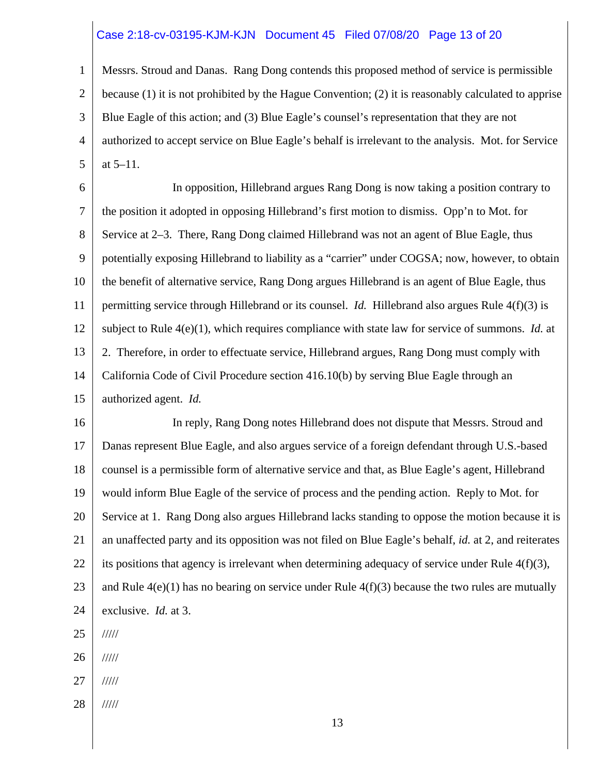#### Case 2:18-cv-03195-KJM-KJN Document 45 Filed 07/08/20 Page 13 of 20

1 2 3 4 5 Messrs. Stroud and Danas. Rang Dong contends this proposed method of service is permissible because (1) it is not prohibited by the Hague Convention; (2) it is reasonably calculated to apprise Blue Eagle of this action; and (3) Blue Eagle's counsel's representation that they are not authorized to accept service on Blue Eagle's behalf is irrelevant to the analysis. Mot. for Service at 5–11.

6 7 8 9 10 11 12 13 14 15 In opposition, Hillebrand argues Rang Dong is now taking a position contrary to the position it adopted in opposing Hillebrand's first motion to dismiss. Opp'n to Mot. for Service at 2–3. There, Rang Dong claimed Hillebrand was not an agent of Blue Eagle, thus potentially exposing Hillebrand to liability as a "carrier" under COGSA; now, however, to obtain the benefit of alternative service, Rang Dong argues Hillebrand is an agent of Blue Eagle, thus permitting service through Hillebrand or its counsel. *Id.* Hillebrand also argues Rule 4(f)(3) is subject to Rule 4(e)(1), which requires compliance with state law for service of summons. *Id.* at 2. Therefore, in order to effectuate service, Hillebrand argues, Rang Dong must comply with California Code of Civil Procedure section 416.10(b) by serving Blue Eagle through an authorized agent. *Id.* 

16 17 18 19 20 21 22 23 24 In reply, Rang Dong notes Hillebrand does not dispute that Messrs. Stroud and Danas represent Blue Eagle, and also argues service of a foreign defendant through U.S.-based counsel is a permissible form of alternative service and that, as Blue Eagle's agent, Hillebrand would inform Blue Eagle of the service of process and the pending action. Reply to Mot. for Service at 1. Rang Dong also argues Hillebrand lacks standing to oppose the motion because it is an unaffected party and its opposition was not filed on Blue Eagle's behalf, *id.* at 2, and reiterates its positions that agency is irrelevant when determining adequacy of service under Rule  $4(f)(3)$ , and Rule  $4(e)(1)$  has no bearing on service under Rule  $4(f)(3)$  because the two rules are mutually exclusive. *Id.* at 3.

25 /////

26 /////

- 27 /////
- 28 /////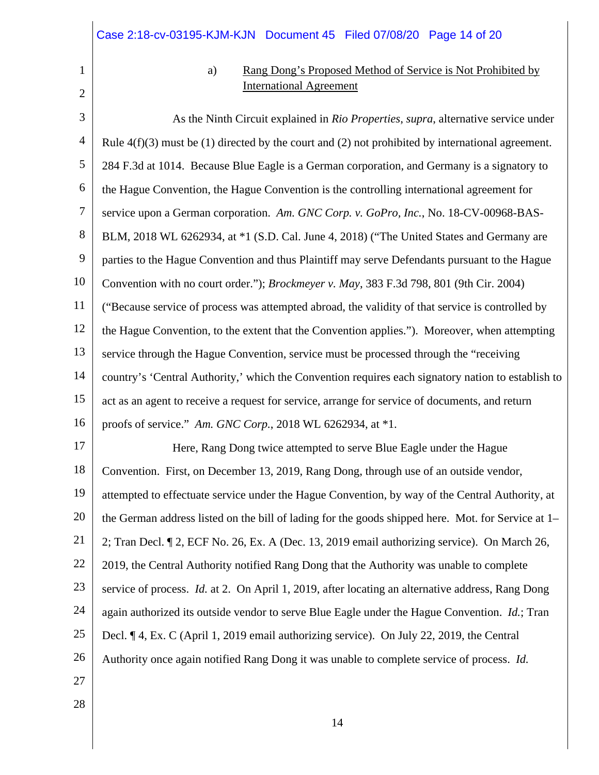|                | Case 2:18-cv-03195-KJM-KJN Document 45 Filed 07/08/20 Page 14 of 20                                     |
|----------------|---------------------------------------------------------------------------------------------------------|
| 1              | Rang Dong's Proposed Method of Service is Not Prohibited by<br>a)                                       |
| $\overline{2}$ | <b>International Agreement</b>                                                                          |
| 3              | As the Ninth Circuit explained in Rio Properties, supra, alternative service under                      |
| $\overline{4}$ | Rule $4(f)(3)$ must be (1) directed by the court and (2) not prohibited by international agreement.     |
| 5              | 284 F.3d at 1014. Because Blue Eagle is a German corporation, and Germany is a signatory to             |
| 6              | the Hague Convention, the Hague Convention is the controlling international agreement for               |
| 7              | service upon a German corporation. Am. GNC Corp. v. GoPro, Inc., No. 18-CV-00968-BAS-                   |
| 8              | BLM, 2018 WL 6262934, at *1 (S.D. Cal. June 4, 2018) ("The United States and Germany are                |
| 9              | parties to the Hague Convention and thus Plaintiff may serve Defendants pursuant to the Hague           |
| 10             | Convention with no court order."); <i>Brockmeyer v. May</i> , 383 F.3d 798, 801 (9th Cir. 2004)         |
| 11             | ("Because service of process was attempted abroad, the validity of that service is controlled by        |
| 12             | the Hague Convention, to the extent that the Convention applies."). Moreover, when attempting           |
| 13             | service through the Hague Convention, service must be processed through the "receiving                  |
| 14             | country's 'Central Authority,' which the Convention requires each signatory nation to establish to      |
| 15             | act as an agent to receive a request for service, arrange for service of documents, and return          |
| 16             | proofs of service." Am. GNC Corp., 2018 WL 6262934, at *1.                                              |
| 17             | Here, Rang Dong twice attempted to serve Blue Eagle under the Hague                                     |
| 18             | Convention. First, on December 13, 2019, Rang Dong, through use of an outside vendor,                   |
| 19             | attempted to effectuate service under the Hague Convention, by way of the Central Authority, at         |
| 20             | the German address listed on the bill of lading for the goods shipped here. Mot. for Service at 1–      |
| 21             | 2; Tran Decl. ¶ 2, ECF No. 26, Ex. A (Dec. 13, 2019 email authorizing service). On March 26,            |
| 22             | 2019, the Central Authority notified Rang Dong that the Authority was unable to complete                |
| 23             | service of process. <i>Id.</i> at 2. On April 1, 2019, after locating an alternative address, Rang Dong |
| 24             | again authorized its outside vendor to serve Blue Eagle under the Hague Convention. Id.; Tran           |
| 25             | Decl. ¶ 4, Ex. C (April 1, 2019 email authorizing service). On July 22, 2019, the Central               |
| 26             | Authority once again notified Rang Dong it was unable to complete service of process. Id.               |
| 27             |                                                                                                         |
| 28             | 14                                                                                                      |
|                |                                                                                                         |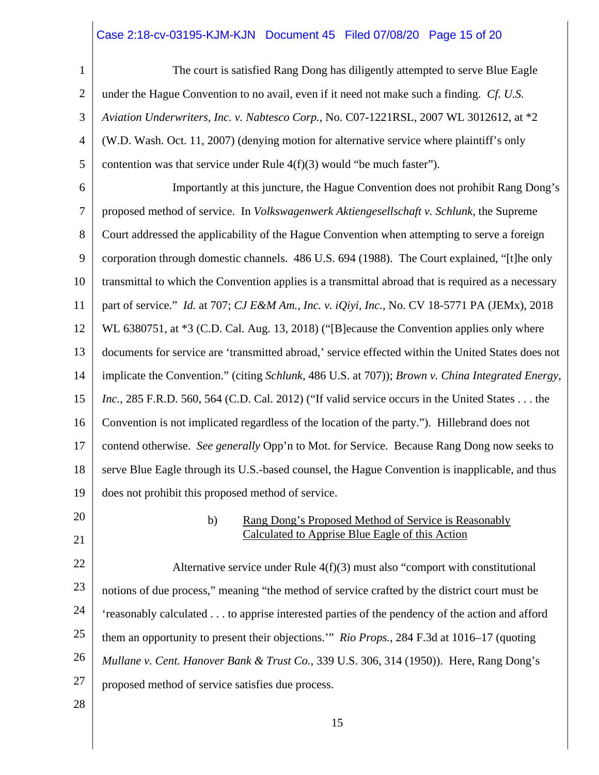## Case 2:18-cv-03195-KJM-KJN Document 45 Filed 07/08/20 Page 15 of 20

| $\mathbf{1}$   | The court is satisfied Rang Dong has diligently attempted to serve Blue Eagle                       |
|----------------|-----------------------------------------------------------------------------------------------------|
| $\overline{2}$ | under the Hague Convention to no avail, even if it need not make such a finding. Cf. U.S.           |
| 3              | Aviation Underwriters, Inc. v. Nabtesco Corp., No. C07-1221RSL, 2007 WL 3012612, at *2              |
| 4              | (W.D. Wash. Oct. 11, 2007) (denying motion for alternative service where plaintiff's only           |
| 5              | contention was that service under Rule $4(f)(3)$ would "be much faster").                           |
| 6              | Importantly at this juncture, the Hague Convention does not prohibit Rang Dong's                    |
| 7              | proposed method of service. In <i>Volkswagenwerk Aktiengesellschaft v. Schlunk</i> , the Supreme    |
| 8              | Court addressed the applicability of the Hague Convention when attempting to serve a foreign        |
| 9              | corporation through domestic channels. 486 U.S. 694 (1988). The Court explained, "[t]he only        |
| 10             | transmittal to which the Convention applies is a transmittal abroad that is required as a necessary |
| 11             | part of service." Id. at 707; CJ E&M Am., Inc. v. iQiyi, Inc., No. CV 18-5771 PA (JEMx), 2018       |
| 12             | WL 6380751, at *3 (C.D. Cal. Aug. 13, 2018) ("[B] ecause the Convention applies only where          |
| 13             | documents for service are 'transmitted abroad,' service effected within the United States does not  |
| 14             | implicate the Convention." (citing Schlunk, 486 U.S. at 707)); Brown v. China Integrated Energy,    |
| 15             | Inc., 285 F.R.D. 560, 564 (C.D. Cal. 2012) ("If valid service occurs in the United States  the      |
| 16             | Convention is not implicated regardless of the location of the party."). Hillebrand does not        |
| 17             | contend otherwise. See generally Opp'n to Mot. for Service. Because Rang Dong now seeks to          |
| 18             | serve Blue Eagle through its U.S.-based counsel, the Hague Convention is inapplicable, and thus     |
| 19             | does not prohibit this proposed method of service.                                                  |
| 20             | Rang Dong's Proposed Method of Service is Reasonably<br>b)                                          |
| 21             | Calculated to Apprise Blue Eagle of this Action                                                     |
| 22             | Alternative service under Rule $4(f)(3)$ must also "comport with constitutional                     |
| 23             | notions of due process," meaning "the method of service crafted by the district court must be       |
| 24             | 'reasonably calculated to apprise interested parties of the pendency of the action and afford       |
| 25             | them an opportunity to present their objections." Rio Props., 284 F.3d at 1016–17 (quoting          |
| 26             | Mullane v. Cent. Hanover Bank & Trust Co., 339 U.S. 306, 314 (1950)). Here, Rang Dong's             |
| 27             | proposed method of service satisfies due process.                                                   |
| 28             |                                                                                                     |

15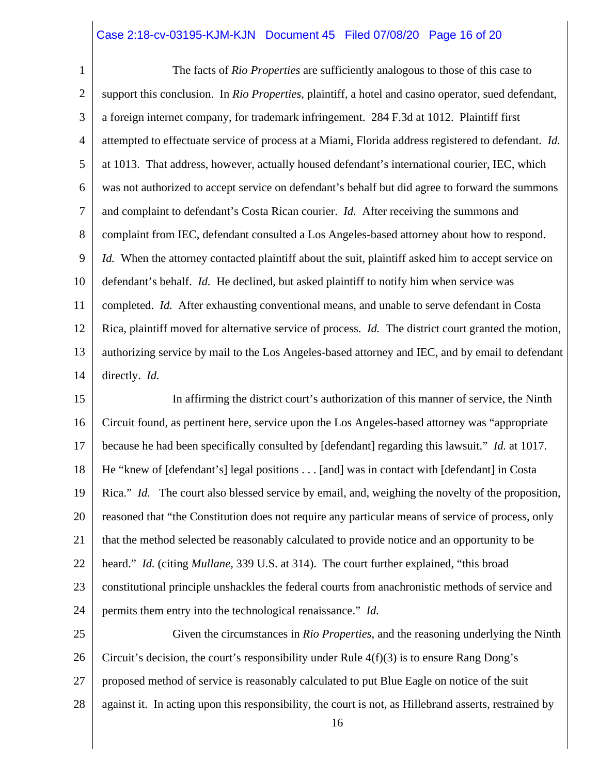#### Case 2:18-cv-03195-KJM-KJN Document 45 Filed 07/08/20 Page 16 of 20

1 2 3 4 5 6 7 8 9 10 11 12 13 14 The facts of *Rio Properties* are sufficiently analogous to those of this case to support this conclusion. In *Rio Properties*, plaintiff, a hotel and casino operator, sued defendant, a foreign internet company, for trademark infringement. 284 F.3d at 1012. Plaintiff first attempted to effectuate service of process at a Miami, Florida address registered to defendant. *Id.* at 1013. That address, however, actually housed defendant's international courier, IEC, which was not authorized to accept service on defendant's behalf but did agree to forward the summons and complaint to defendant's Costa Rican courier. *Id.* After receiving the summons and complaint from IEC, defendant consulted a Los Angeles-based attorney about how to respond. *Id.* When the attorney contacted plaintiff about the suit, plaintiff asked him to accept service on defendant's behalf. *Id.* He declined, but asked plaintiff to notify him when service was completed. *Id.* After exhausting conventional means, and unable to serve defendant in Costa Rica, plaintiff moved for alternative service of process. *Id.* The district court granted the motion, authorizing service by mail to the Los Angeles-based attorney and IEC, and by email to defendant directly. *Id.* 

15 16 17 18 19 20 21 22 23 24 In affirming the district court's authorization of this manner of service, the Ninth Circuit found, as pertinent here, service upon the Los Angeles-based attorney was "appropriate because he had been specifically consulted by [defendant] regarding this lawsuit." *Id.* at 1017. He "knew of [defendant's] legal positions . . . [and] was in contact with [defendant] in Costa Rica." *Id.* The court also blessed service by email, and, weighing the novelty of the proposition, reasoned that "the Constitution does not require any particular means of service of process, only that the method selected be reasonably calculated to provide notice and an opportunity to be heard." *Id.* (citing *Mullane*, 339 U.S. at 314). The court further explained, "this broad constitutional principle unshackles the federal courts from anachronistic methods of service and permits them entry into the technological renaissance." *Id.* 

25 26 27 28 Given the circumstances in *Rio Properties*, and the reasoning underlying the Ninth Circuit's decision, the court's responsibility under Rule  $4(f)(3)$  is to ensure Rang Dong's proposed method of service is reasonably calculated to put Blue Eagle on notice of the suit against it. In acting upon this responsibility, the court is not, as Hillebrand asserts, restrained by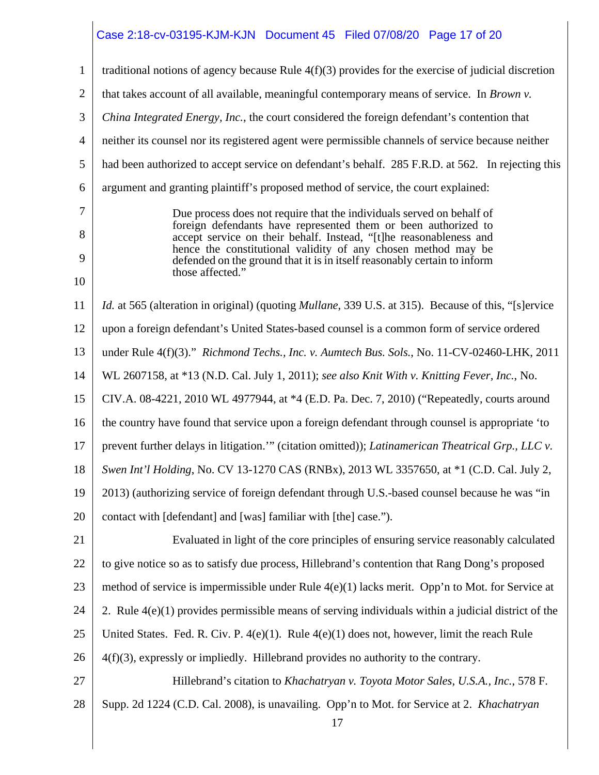### Case 2:18-cv-03195-KJM-KJN Document 45 Filed 07/08/20 Page 17 of 20

| $\mathbf{1}$   | traditional notions of agency because Rule $4(f)(3)$ provides for the exercise of judicial discretion                                     |
|----------------|-------------------------------------------------------------------------------------------------------------------------------------------|
| $\overline{2}$ | that takes account of all available, meaningful contemporary means of service. In Brown v.                                                |
| 3              | China Integrated Energy, Inc., the court considered the foreign defendant's contention that                                               |
| $\overline{4}$ | neither its counsel nor its registered agent were permissible channels of service because neither                                         |
| 5              | had been authorized to accept service on defendant's behalf. 285 F.R.D. at 562. In rejecting this                                         |
| 6              | argument and granting plaintiff's proposed method of service, the court explained:                                                        |
| 7              | Due process does not require that the individuals served on behalf of                                                                     |
| 8              | foreign defendants have represented them or been authorized to<br>accept service on their behalf. Instead, "[t]he reasonableness and      |
| 9              | hence the constitutional validity of any chosen method may be<br>defended on the ground that it is in itself reasonably certain to inform |
| 10             | those affected."                                                                                                                          |
| 11             | <i>Id.</i> at 565 (alteration in original) (quoting <i>Mullane</i> , 339 U.S. at 315). Because of this, "[s]ervice                        |
| 12             | upon a foreign defendant's United States-based counsel is a common form of service ordered                                                |
| 13             | under Rule $4(f)(3)$ ." Richmond Techs., Inc. v. Aumtech Bus. Sols., No. 11-CV-02460-LHK, 2011                                            |
| 14             | WL 2607158, at *13 (N.D. Cal. July 1, 2011); see also Knit With v. Knitting Fever, Inc., No.                                              |
| 15             | CIV.A. 08-4221, 2010 WL 4977944, at *4 (E.D. Pa. Dec. 7, 2010) ("Repeatedly, courts around                                                |
| 16             | the country have found that service upon a foreign defendant through counsel is appropriate 'to                                           |
| 17             | prevent further delays in litigation." (citation omitted)); <i>Latinamerican Theatrical Grp., LLC v.</i>                                  |
| 18             | Swen Int'l Holding, No. CV 13-1270 CAS (RNBx), 2013 WL 3357650, at *1 (C.D. Cal. July 2,                                                  |
| 19             | 2013) (authorizing service of foreign defendant through U.S.-based counsel because he was "in                                             |
| 20             | contact with [defendant] and [was] familiar with [the] case.").                                                                           |
| 21             | Evaluated in light of the core principles of ensuring service reasonably calculated                                                       |
| 22             | to give notice so as to satisfy due process, Hillebrand's contention that Rang Dong's proposed                                            |
| 23             | method of service is impermissible under Rule $4(e)(1)$ lacks merit. Opp'n to Mot. for Service at                                         |
| 24             | 2. Rule $4(e)(1)$ provides permissible means of serving individuals within a judicial district of the                                     |
| 25             | United States. Fed. R. Civ. P. $4(e)(1)$ . Rule $4(e)(1)$ does not, however, limit the reach Rule                                         |
| 26             | $4(f)(3)$ , expressly or impliedly. Hillebrand provides no authority to the contrary.                                                     |
| 27             | Hillebrand's citation to Khachatryan v. Toyota Motor Sales, U.S.A., Inc., 578 F.                                                          |
| 28             | Supp. 2d 1224 (C.D. Cal. 2008), is unavailing. Opp'n to Mot. for Service at 2. Khachatryan<br>17                                          |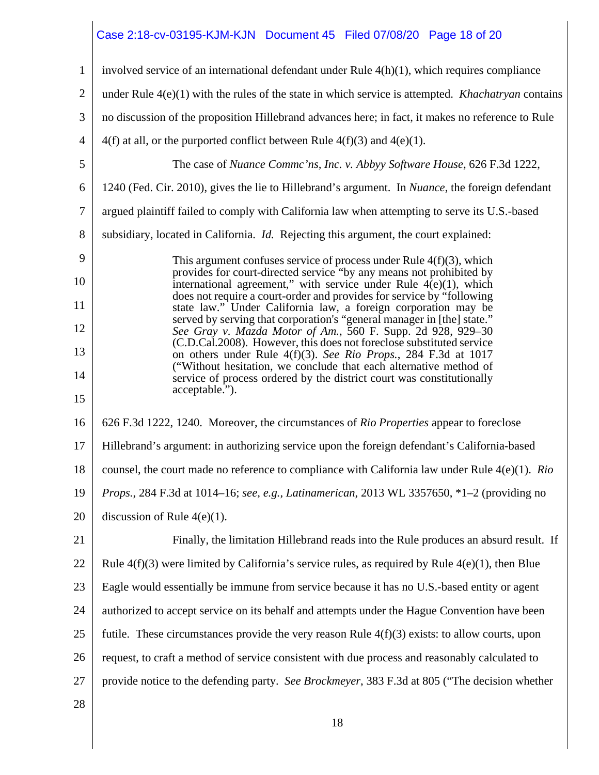### Case 2:18-cv-03195-KJM-KJN Document 45 Filed 07/08/20 Page 18 of 20

| $\mathbf{1}$   | involved service of an international defendant under Rule $4(h)(1)$ , which requires compliance                                                                                                                      |
|----------------|----------------------------------------------------------------------------------------------------------------------------------------------------------------------------------------------------------------------|
| $\overline{2}$ | under Rule $4(e)(1)$ with the rules of the state in which service is attempted. <i>Khachatryan</i> contains                                                                                                          |
| 3              | no discussion of the proposition Hillebrand advances here; in fact, it makes no reference to Rule                                                                                                                    |
| $\overline{4}$ | $4(f)$ at all, or the purported conflict between Rule $4(f)(3)$ and $4(e)(1)$ .                                                                                                                                      |
| 5              | The case of Nuance Commc'ns, Inc. v. Abbyy Software House, 626 F.3d 1222,                                                                                                                                            |
| 6              | 1240 (Fed. Cir. 2010), gives the lie to Hillebrand's argument. In Nuance, the foreign defendant                                                                                                                      |
| 7              | argued plaintiff failed to comply with California law when attempting to serve its U.S.-based                                                                                                                        |
| 8              | subsidiary, located in California. <i>Id.</i> Rejecting this argument, the court explained:                                                                                                                          |
| 9<br>10        | This argument confuses service of process under Rule $4(f)(3)$ , which<br>provides for court-directed service "by any means not prohibited by<br>international agreement," with service under Rule $4(e)(1)$ , which |
| 11             | does not require a court-order and provides for service by "following<br>state law." Under California law, a foreign corporation may be                                                                              |
| 12             | served by serving that corporation's "general manager in [the] state."<br>See Gray v. Mazda Motor of Am., 560 F. Supp. 2d 928, 929-30                                                                                |
| 13             | (C.D.Cal.2008). However, this does not foreclose substituted service<br>on others under Rule 4(f)(3). See Rio Props., 284 F.3d at 1017                                                                               |
| 14             | ("Without hesitation, we conclude that each alternative method of<br>service of process ordered by the district court was constitutionally                                                                           |
| 15             | acceptable.").                                                                                                                                                                                                       |
| 16             | 626 F.3d 1222, 1240. Moreover, the circumstances of Rio Properties appear to foreclose                                                                                                                               |
| 17             | Hillebrand's argument: in authorizing service upon the foreign defendant's California-based                                                                                                                          |
| 18             | counsel, the court made no reference to compliance with California law under Rule $4(e)(1)$ . Rio                                                                                                                    |
| 19             | Props., 284 F.3d at 1014-16; see, e.g., Latinamerican, 2013 WL 3357650, *1-2 (providing no                                                                                                                           |
| 20             | discussion of Rule $4(e)(1)$ .                                                                                                                                                                                       |
| 21             | Finally, the limitation Hillebrand reads into the Rule produces an absurd result. If                                                                                                                                 |
| 22             | Rule $4(f)(3)$ were limited by California's service rules, as required by Rule $4(e)(1)$ , then Blue                                                                                                                 |
| 23             | Eagle would essentially be immune from service because it has no U.S.-based entity or agent                                                                                                                          |
| 24             | authorized to accept service on its behalf and attempts under the Hague Convention have been                                                                                                                         |
| 25             | futile. These circumstances provide the very reason Rule $4(f)(3)$ exists: to allow courts, upon                                                                                                                     |
| 26             | request, to craft a method of service consistent with due process and reasonably calculated to                                                                                                                       |
| 27             | provide notice to the defending party. See Brockmeyer, 383 F.3d at 805 ("The decision whether                                                                                                                        |
| 28             |                                                                                                                                                                                                                      |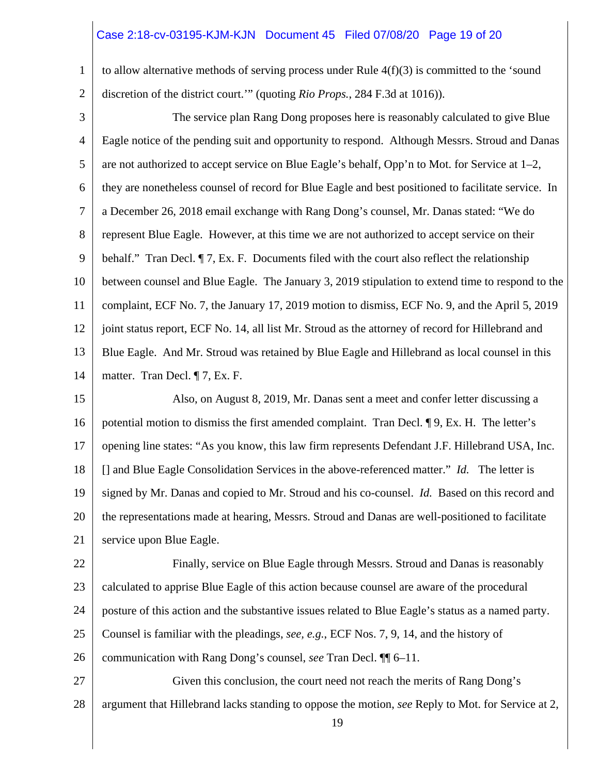#### Case 2:18-cv-03195-KJM-KJN Document 45 Filed 07/08/20 Page 19 of 20

- 1 2 to allow alternative methods of serving process under Rule  $4(f)(3)$  is committed to the 'sound discretion of the district court.'" (quoting *Rio Props.*, 284 F.3d at 1016)).
- 

3 4 5 6 7 8 9 10 11 12 13 14 The service plan Rang Dong proposes here is reasonably calculated to give Blue Eagle notice of the pending suit and opportunity to respond. Although Messrs. Stroud and Danas are not authorized to accept service on Blue Eagle's behalf, Opp'n to Mot. for Service at 1–2, they are nonetheless counsel of record for Blue Eagle and best positioned to facilitate service. In a December 26, 2018 email exchange with Rang Dong's counsel, Mr. Danas stated: "We do represent Blue Eagle. However, at this time we are not authorized to accept service on their behalf." Tran Decl.  $\P$  7, Ex. F. Documents filed with the court also reflect the relationship between counsel and Blue Eagle. The January 3, 2019 stipulation to extend time to respond to the complaint, ECF No. 7, the January 17, 2019 motion to dismiss, ECF No. 9, and the April 5, 2019 joint status report, ECF No. 14, all list Mr. Stroud as the attorney of record for Hillebrand and Blue Eagle. And Mr. Stroud was retained by Blue Eagle and Hillebrand as local counsel in this matter. Tran Decl. ¶ 7, Ex. F.

15 16 17 18 19 20 21 Also, on August 8, 2019, Mr. Danas sent a meet and confer letter discussing a potential motion to dismiss the first amended complaint. Tran Decl. ¶ 9, Ex. H. The letter's opening line states: "As you know, this law firm represents Defendant J.F. Hillebrand USA, Inc. [] and Blue Eagle Consolidation Services in the above-referenced matter." *Id.* The letter is signed by Mr. Danas and copied to Mr. Stroud and his co-counsel. *Id.* Based on this record and the representations made at hearing, Messrs. Stroud and Danas are well-positioned to facilitate service upon Blue Eagle.

22 23 24 25 26 Finally, service on Blue Eagle through Messrs. Stroud and Danas is reasonably calculated to apprise Blue Eagle of this action because counsel are aware of the procedural posture of this action and the substantive issues related to Blue Eagle's status as a named party. Counsel is familiar with the pleadings, *see, e.g.*, ECF Nos. 7, 9, 14, and the history of communication with Rang Dong's counsel, *see* Tran Decl. ¶¶ 6–11.

27 28 Given this conclusion, the court need not reach the merits of Rang Dong's argument that Hillebrand lacks standing to oppose the motion, *see* Reply to Mot. for Service at 2,